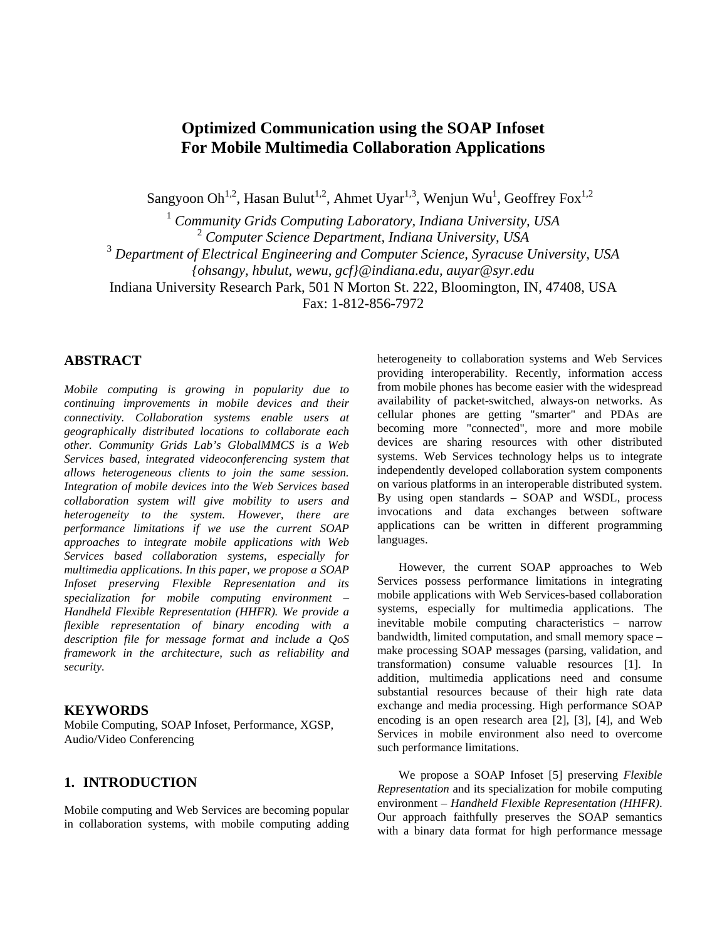# **Optimized Communication using the SOAP Infoset For Mobile Multimedia Collaboration Applications**

Sangyoon Oh<sup>1,2</sup>, Hasan Bulut<sup>1,2</sup>, Ahmet Uyar<sup>1,3</sup>, Wenjun Wu<sup>1</sup>, Geoffrey Fox<sup>1,2</sup>

<sup>1</sup> *Community Grids Computing Laboratory, Indiana University, USA* 

<sup>2</sup> *Computer Science Department, Indiana University, USA* 

<sup>3</sup> *Department of Electrical Engineering and Computer Science, Syracuse University, USA*

*{ohsangy, hbulut, wewu, gcf}@indiana.edu, auyar@syr.edu* 

Indiana University Research Park, 501 N Morton St. 222, Bloomington, IN, 47408, USA

Fax: 1-812-856-7972

## **ABSTRACT**

*Mobile computing is growing in popularity due to continuing improvements in mobile devices and their connectivity. Collaboration systems enable users at geographically distributed locations to collaborate each other. Community Grids Lab's GlobalMMCS is a Web Services based, integrated videoconferencing system that allows heterogeneous clients to join the same session. Integration of mobile devices into the Web Services based collaboration system will give mobility to users and heterogeneity to the system. However, there are performance limitations if we use the current SOAP approaches to integrate mobile applications with Web Services based collaboration systems, especially for multimedia applications. In this paper, we propose a SOAP Infoset preserving Flexible Representation and its specialization for mobile computing environment – Handheld Flexible Representation (HHFR). We provide a flexible representation of binary encoding with a description file for message format and include a QoS framework in the architecture, such as reliability and security.* 

#### **KEYWORDS**

Mobile Computing, SOAP Infoset, Performance, XGSP, Audio/Video Conferencing

## **1. INTRODUCTION**

Mobile computing and Web Services are becoming popular in collaboration systems, with mobile computing adding heterogeneity to collaboration systems and Web Services providing interoperability. Recently, information access from mobile phones has become easier with the widespread availability of packet-switched, always-on networks. As cellular phones are getting "smarter" and PDAs are becoming more "connected", more and more mobile devices are sharing resources with other distributed systems. Web Services technology helps us to integrate independently developed collaboration system components on various platforms in an interoperable distributed system. By using open standards – SOAP and WSDL, process invocations and data exchanges between software applications can be written in different programming languages.

However, the current SOAP approaches to Web Services possess performance limitations in integrating mobile applications with Web Services-based collaboration systems, especially for multimedia applications. The inevitable mobile computing characteristics – narrow bandwidth, limited computation, and small memory space – make processing SOAP messages (parsing, validation, and transformation) consume valuable resources [1]. In addition, multimedia applications need and consume substantial resources because of their high rate data exchange and media processing. High performance SOAP encoding is an open research area [2], [3], [4], and Web Services in mobile environment also need to overcome such performance limitations.

We propose a SOAP Infoset [5] preserving *Flexible Representation* and its specialization for mobile computing environment – *Handheld Flexible Representation (HHFR)*. Our approach faithfully preserves the SOAP semantics with a binary data format for high performance message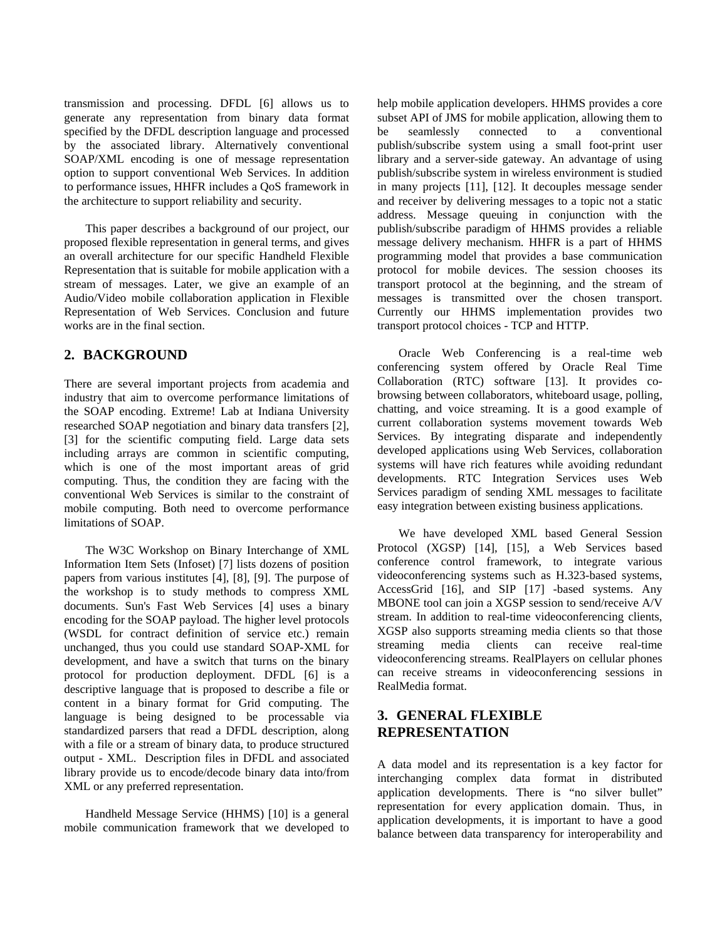transmission and processing. DFDL [6] allows us to generate any representation from binary data format specified by the DFDL description language and processed by the associated library. Alternatively conventional SOAP/XML encoding is one of message representation option to support conventional Web Services. In addition to performance issues, HHFR includes a QoS framework in the architecture to support reliability and security.

This paper describes a background of our project, our proposed flexible representation in general terms, and gives an overall architecture for our specific Handheld Flexible Representation that is suitable for mobile application with a stream of messages. Later, we give an example of an Audio/Video mobile collaboration application in Flexible Representation of Web Services. Conclusion and future works are in the final section.

## **2. BACKGROUND**

There are several important projects from academia and industry that aim to overcome performance limitations of the SOAP encoding. Extreme! Lab at Indiana University researched SOAP negotiation and binary data transfers [2], [3] for the scientific computing field. Large data sets including arrays are common in scientific computing, which is one of the most important areas of grid computing. Thus, the condition they are facing with the conventional Web Services is similar to the constraint of mobile computing. Both need to overcome performance limitations of SOAP.

The W3C Workshop on Binary Interchange of XML Information Item Sets (Infoset) [7] lists dozens of position papers from various institutes [4], [8], [9]. The purpose of the workshop is to study methods to compress XML documents. Sun's Fast Web Services [4] uses a binary encoding for the SOAP payload. The higher level protocols (WSDL for contract definition of service etc.) remain unchanged, thus you could use standard SOAP-XML for development, and have a switch that turns on the binary protocol for production deployment. DFDL [6] is a descriptive language that is proposed to describe a file or content in a binary format for Grid computing. The language is being designed to be processable via standardized parsers that read a DFDL description, along with a file or a stream of binary data, to produce structured output - XML. Description files in DFDL and associated library provide us to encode/decode binary data into/from XML or any preferred representation.

Handheld Message Service (HHMS) [10] is a general mobile communication framework that we developed to help mobile application developers. HHMS provides a core subset API of JMS for mobile application, allowing them to be seamlessly connected to a conventional publish/subscribe system using a small foot-print user library and a server-side gateway. An advantage of using publish/subscribe system in wireless environment is studied in many projects [11], [12]. It decouples message sender and receiver by delivering messages to a topic not a static address. Message queuing in conjunction with the publish/subscribe paradigm of HHMS provides a reliable message delivery mechanism. HHFR is a part of HHMS programming model that provides a base communication protocol for mobile devices. The session chooses its transport protocol at the beginning, and the stream of messages is transmitted over the chosen transport. Currently our HHMS implementation provides two transport protocol choices - TCP and HTTP.

Oracle Web Conferencing is a real-time web conferencing system offered by Oracle Real Time Collaboration (RTC) software [13]. It provides cobrowsing between collaborators, whiteboard usage, polling, chatting, and voice streaming. It is a good example of current collaboration systems movement towards Web Services. By integrating disparate and independently developed applications using Web Services, collaboration systems will have rich features while avoiding redundant developments. RTC Integration Services uses Web Services paradigm of sending XML messages to facilitate easy integration between existing business applications.

We have developed XML based General Session Protocol (XGSP) [14], [15], a Web Services based conference control framework, to integrate various videoconferencing systems such as H.323-based systems, AccessGrid [16], and SIP [17] -based systems. Any MBONE tool can join a XGSP session to send/receive A/V stream. In addition to real-time videoconferencing clients, XGSP also supports streaming media clients so that those streaming media clients can receive real-time videoconferencing streams. RealPlayers on cellular phones can receive streams in videoconferencing sessions in RealMedia format.

## **3. GENERAL FLEXIBLE REPRESENTATION**

A data model and its representation is a key factor for interchanging complex data format in distributed application developments. There is "no silver bullet" representation for every application domain. Thus, in application developments, it is important to have a good balance between data transparency for interoperability and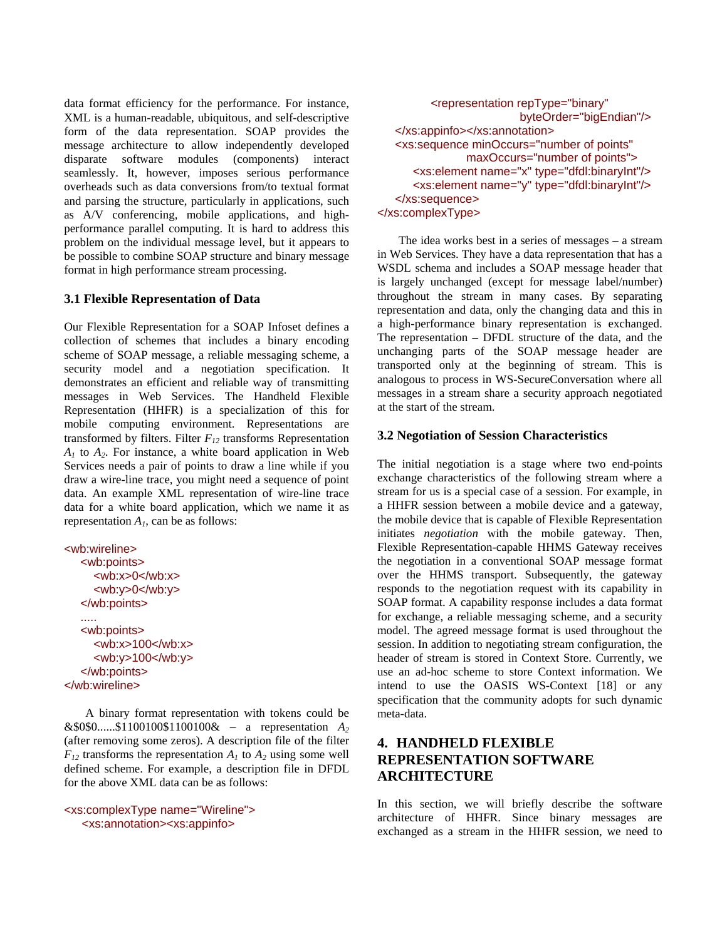data format efficiency for the performance. For instance, XML is a human-readable, ubiquitous, and self-descriptive form of the data representation. SOAP provides the message architecture to allow independently developed disparate software modules (components) interact seamlessly. It, however, imposes serious performance overheads such as data conversions from/to textual format and parsing the structure, particularly in applications, such as A/V conferencing, mobile applications, and highperformance parallel computing. It is hard to address this problem on the individual message level, but it appears to be possible to combine SOAP structure and binary message format in high performance stream processing.

## **3.1 Flexible Representation of Data**

Our Flexible Representation for a SOAP Infoset defines a collection of schemes that includes a binary encoding scheme of SOAP message, a reliable messaging scheme, a security model and a negotiation specification. It demonstrates an efficient and reliable way of transmitting messages in Web Services. The Handheld Flexible Representation (HHFR) is a specialization of this for mobile computing environment. Representations are transformed by filters. Filter  $F_{12}$  transforms Representation *A1* to *A2*. For instance, a white board application in Web Services needs a pair of points to draw a line while if you draw a wire-line trace, you might need a sequence of point data. An example XML representation of wire-line trace data for a white board application, which we name it as representation  $A<sub>1</sub>$ , can be as follows:

```
<wb:wireline> 
    <wb:points> 
       <wb:x>0</wb:x> 
       <wb:y>0</wb:y> 
    </wb:points> 
    ..... 
    <wb:points> 
       <wb:x>100</wb:x> 
       <wb:y>100</wb:y> 
    </wb:points> 
</wb:wireline>
```
A binary format representation with tokens could be &\$0\$0......\$1100100\$1100100& – a representation *A2* (after removing some zeros). A description file of the filter  $F_{12}$  transforms the representation  $A_1$  to  $A_2$  using some well defined scheme. For example, a description file in DFDL for the above XML data can be as follows:

```
<xs:complexType name="Wireline"> 
    <xs:annotation><xs:appinfo>
```

```
<representation repType="binary" 
                            byteOrder="bigEndian"/> 
    </xs:appinfo></xs:annotation> 
    <xs:sequence minOccurs="number of points" 
                 maxOccurs="number of points"> 
       <xs:element name="x" type="dfdl:binaryInt"/> 
       <xs:element name="y" type="dfdl:binaryInt"/> 
    </xs:sequence> 
</xs:complexType>
```
 The idea works best in a series of messages – a stream in Web Services. They have a data representation that has a WSDL schema and includes a SOAP message header that is largely unchanged (except for message label/number) throughout the stream in many cases. By separating representation and data, only the changing data and this in a high-performance binary representation is exchanged. The representation – DFDL structure of the data, and the unchanging parts of the SOAP message header are transported only at the beginning of stream. This is analogous to process in WS-SecureConversation where all messages in a stream share a security approach negotiated at the start of the stream.

## **3.2 Negotiation of Session Characteristics**

The initial negotiation is a stage where two end-points exchange characteristics of the following stream where a stream for us is a special case of a session. For example, in a HHFR session between a mobile device and a gateway, the mobile device that is capable of Flexible Representation initiates *negotiation* with the mobile gateway. Then, Flexible Representation-capable HHMS Gateway receives the negotiation in a conventional SOAP message format over the HHMS transport. Subsequently, the gateway responds to the negotiation request with its capability in SOAP format. A capability response includes a data format for exchange, a reliable messaging scheme, and a security model. The agreed message format is used throughout the session. In addition to negotiating stream configuration, the header of stream is stored in Context Store. Currently, we use an ad-hoc scheme to store Context information. We intend to use the OASIS WS-Context [18] or any specification that the community adopts for such dynamic meta-data.

## **4. HANDHELD FLEXIBLE REPRESENTATION SOFTWARE ARCHITECTURE**

In this section, we will briefly describe the software architecture of HHFR. Since binary messages are exchanged as a stream in the HHFR session, we need to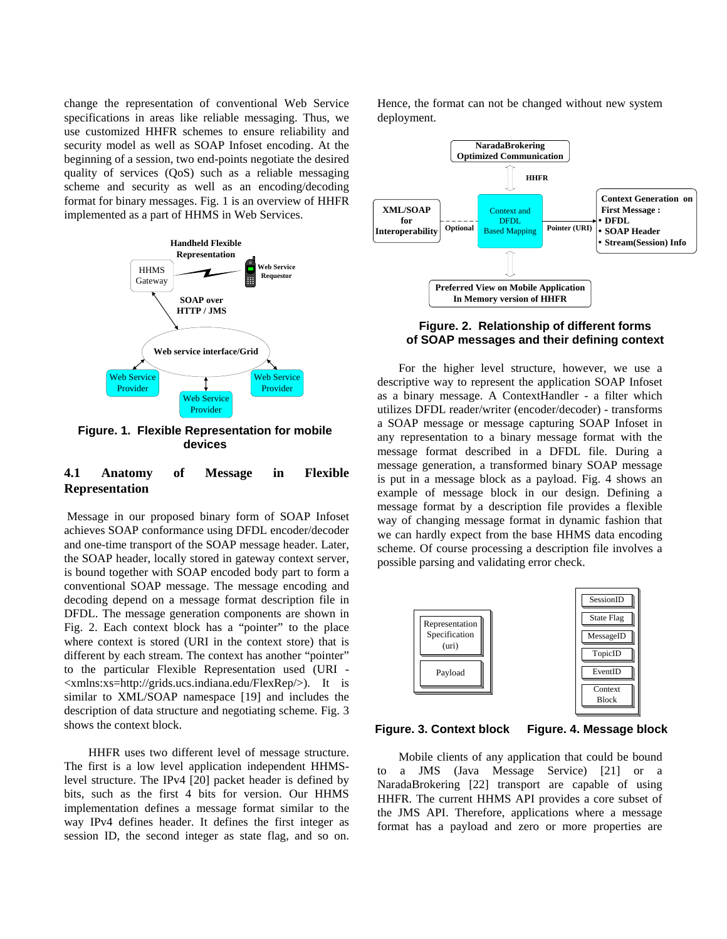change the representation of conventional Web Service specifications in areas like reliable messaging. Thus, we use customized HHFR schemes to ensure reliability and security model as well as SOAP Infoset encoding. At the beginning of a session, two end-points negotiate the desired quality of services (QoS) such as a reliable messaging scheme and security as well as an encoding/decoding format for binary messages. Fig. 1 is an overview of HHFR implemented as a part of HHMS in Web Services.



**Figure. 1. Flexible Representation for mobile devices** 

#### **4.1 Anatomy of Message in Flexible Representation**

Message in our proposed binary form of SOAP Infoset achieves SOAP conformance using DFDL encoder/decoder and one-time transport of the SOAP message header. Later, the SOAP header, locally stored in gateway context server, is bound together with SOAP encoded body part to form a conventional SOAP message. The message encoding and decoding depend on a message format description file in DFDL. The message generation components are shown in Fig. 2. Each context block has a "pointer" to the place where context is stored (URI in the context store) that is different by each stream. The context has another "pointer" to the particular Flexible Representation used (URI - <xmlns:xs=http://grids.ucs.indiana.edu/FlexRep/>). It is similar to XML/SOAP namespace [19] and includes the description of data structure and negotiating scheme. Fig. 3 shows the context block.

HHFR uses two different level of message structure. The first is a low level application independent HHMSlevel structure. The IPv4 [20] packet header is defined by bits, such as the first 4 bits for version. Our HHMS implementation defines a message format similar to the way IPv4 defines header. It defines the first integer as session ID, the second integer as state flag, and so on.

Hence, the format can not be changed without new system deployment.



#### **Figure. 2. Relationship of different forms of SOAP messages and their defining context**

For the higher level structure, however, we use a descriptive way to represent the application SOAP Infoset as a binary message. A ContextHandler - a filter which utilizes DFDL reader/writer (encoder/decoder) - transforms a SOAP message or message capturing SOAP Infoset in any representation to a binary message format with the message format described in a DFDL file. During a message generation, a transformed binary SOAP message is put in a message block as a payload. Fig. 4 shows an example of message block in our design. Defining a message format by a description file provides a flexible way of changing message format in dynamic fashion that we can hardly expect from the base HHMS data encoding scheme. Of course processing a description file involves a possible parsing and validating error check.



**Figure. 3. Context block Figure. 4. Message block** 

Mobile clients of any application that could be bound to a JMS (Java Message Service) [21] or a NaradaBrokering [22] transport are capable of using HHFR. The current HHMS API provides a core subset of the JMS API. Therefore, applications where a message format has a payload and zero or more properties are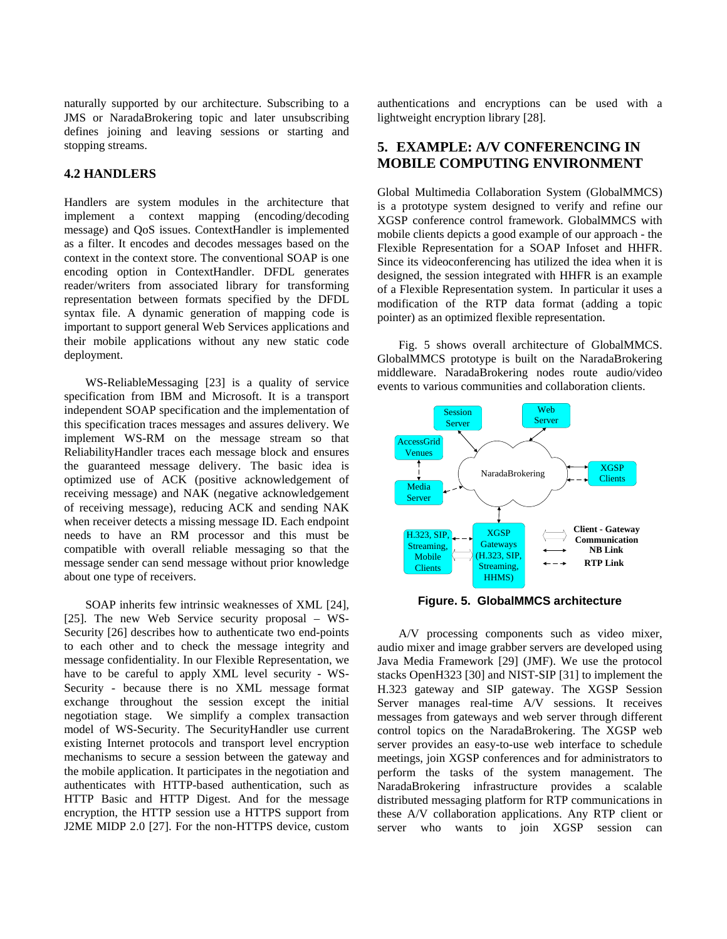naturally supported by our architecture. Subscribing to a JMS or NaradaBrokering topic and later unsubscribing defines joining and leaving sessions or starting and stopping streams.

#### **4.2 HANDLERS**

Handlers are system modules in the architecture that implement a context mapping (encoding/decoding message) and QoS issues. ContextHandler is implemented as a filter. It encodes and decodes messages based on the context in the context store. The conventional SOAP is one encoding option in ContextHandler. DFDL generates reader/writers from associated library for transforming representation between formats specified by the DFDL syntax file. A dynamic generation of mapping code is important to support general Web Services applications and their mobile applications without any new static code deployment.

WS-ReliableMessaging [23] is a quality of service specification from IBM and Microsoft. It is a transport independent SOAP specification and the implementation of this specification traces messages and assures delivery. We implement WS-RM on the message stream so that ReliabilityHandler traces each message block and ensures the guaranteed message delivery. The basic idea is optimized use of ACK (positive acknowledgement of receiving message) and NAK (negative acknowledgement of receiving message), reducing ACK and sending NAK when receiver detects a missing message ID. Each endpoint needs to have an RM processor and this must be compatible with overall reliable messaging so that the message sender can send message without prior knowledge about one type of receivers.

SOAP inherits few intrinsic weaknesses of XML [24], [25]. The new Web Service security proposal – WS-Security [26] describes how to authenticate two end-points to each other and to check the message integrity and message confidentiality. In our Flexible Representation, we have to be careful to apply XML level security - WS-Security - because there is no XML message format exchange throughout the session except the initial negotiation stage. We simplify a complex transaction model of WS-Security. The SecurityHandler use current existing Internet protocols and transport level encryption mechanisms to secure a session between the gateway and the mobile application. It participates in the negotiation and authenticates with HTTP-based authentication, such as HTTP Basic and HTTP Digest. And for the message encryption, the HTTP session use a HTTPS support from J2ME MIDP 2.0 [27]. For the non-HTTPS device, custom

authentications and encryptions can be used with a lightweight encryption library [28].

## **5. EXAMPLE: A/V CONFERENCING IN MOBILE COMPUTING ENVIRONMENT**

Global Multimedia Collaboration System (GlobalMMCS) is a prototype system designed to verify and refine our XGSP conference control framework. GlobalMMCS with mobile clients depicts a good example of our approach - the Flexible Representation for a SOAP Infoset and HHFR. Since its videoconferencing has utilized the idea when it is designed, the session integrated with HHFR is an example of a Flexible Representation system. In particular it uses a modification of the RTP data format (adding a topic pointer) as an optimized flexible representation.

Fig. 5 shows overall architecture of GlobalMMCS. GlobalMMCS prototype is built on the NaradaBrokering middleware. NaradaBrokering nodes route audio/video events to various communities and collaboration clients.



**Figure. 5. GlobalMMCS architecture** 

A/V processing components such as video mixer, audio mixer and image grabber servers are developed using Java Media Framework [29] (JMF). We use the protocol stacks OpenH323 [30] and NIST-SIP [31] to implement the H.323 gateway and SIP gateway. The XGSP Session Server manages real-time A/V sessions. It receives messages from gateways and web server through different control topics on the NaradaBrokering. The XGSP web server provides an easy-to-use web interface to schedule meetings, join XGSP conferences and for administrators to perform the tasks of the system management. The NaradaBrokering infrastructure provides a scalable distributed messaging platform for RTP communications in these A/V collaboration applications. Any RTP client or server who wants to join XGSP session can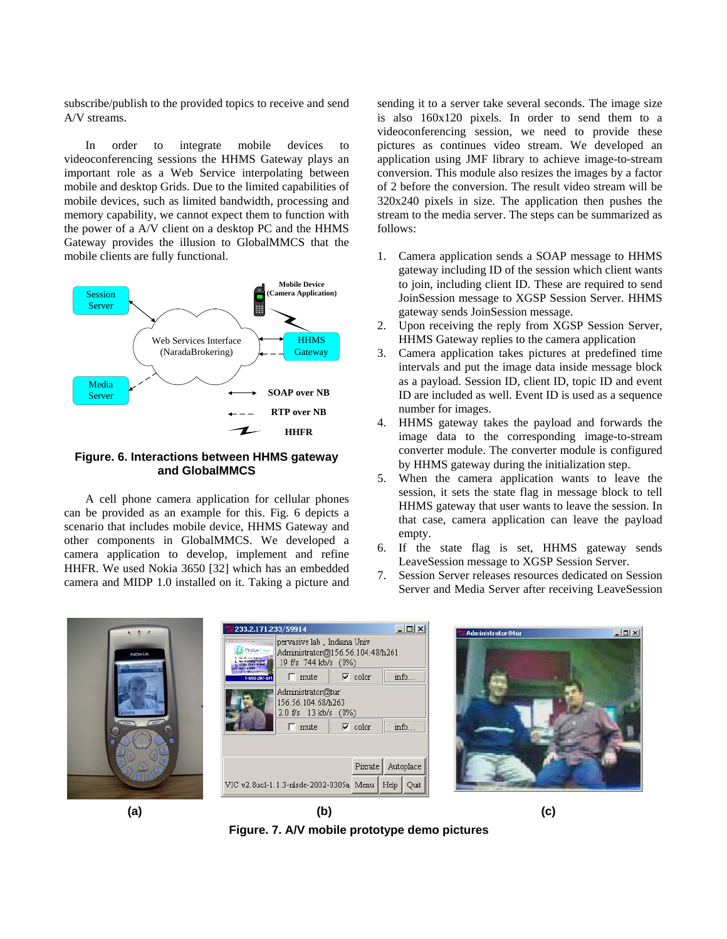subscribe/publish to the provided topics to receive and send A/V streams.

In order to integrate mobile devices to videoconferencing sessions the HHMS Gateway plays an important role as a Web Service interpolating between mobile and desktop Grids. Due to the limited capabilities of mobile devices, such as limited bandwidth, processing and memory capability, we cannot expect them to function with the power of a A/V client on a desktop PC and the HHMS Gateway provides the illusion to GlobalMMCS that the mobile clients are fully functional.



#### **Figure. 6. Interactions between HHMS gateway and GlobalMMCS**

A cell phone camera application for cellular phones can be provided as an example for this. Fig. 6 depicts a scenario that includes mobile device, HHMS Gateway and other components in GlobalMMCS. We developed a camera application to develop, implement and refine HHFR. We used Nokia 3650 [32] which has an embedded camera and MIDP 1.0 installed on it. Taking a picture and

sending it to a server take several seconds. The image size is also 160x120 pixels. In order to send them to a videoconferencing session, we need to provide these pictures as continues video stream. We developed an application using JMF library to achieve image-to-stream conversion. This module also resizes the images by a factor of 2 before the conversion. The result video stream will be 320x240 pixels in size. The application then pushes the stream to the media server. The steps can be summarized as follows:

- 1. Camera application sends a SOAP message to HHMS gateway including ID of the session which client wants to join, including client ID. These are required to send JoinSession message to XGSP Session Server. HHMS gateway sends JoinSession message.
- 2. Upon receiving the reply from XGSP Session Server, HHMS Gateway replies to the camera application
- 3. Camera application takes pictures at predefined time intervals and put the image data inside message block as a payload. Session ID, client ID, topic ID and event ID are included as well. Event ID is used as a sequence number for images.
- 4. HHMS gateway takes the payload and forwards the image data to the corresponding image-to-stream converter module. The converter module is configured by HHMS gateway during the initialization step.
- 5. When the camera application wants to leave the session, it sets the state flag in message block to tell HHMS gateway that user wants to leave the session. In that case, camera application can leave the payload empty.
- 6. If the state flag is set, HHMS gateway sends LeaveSession message to XGSP Session Server.
- 7. Session Server releases resources dedicated on Session Server and Media Server after receiving LeaveSession





**Figure. 7. A/V mobile prototype demo pictures**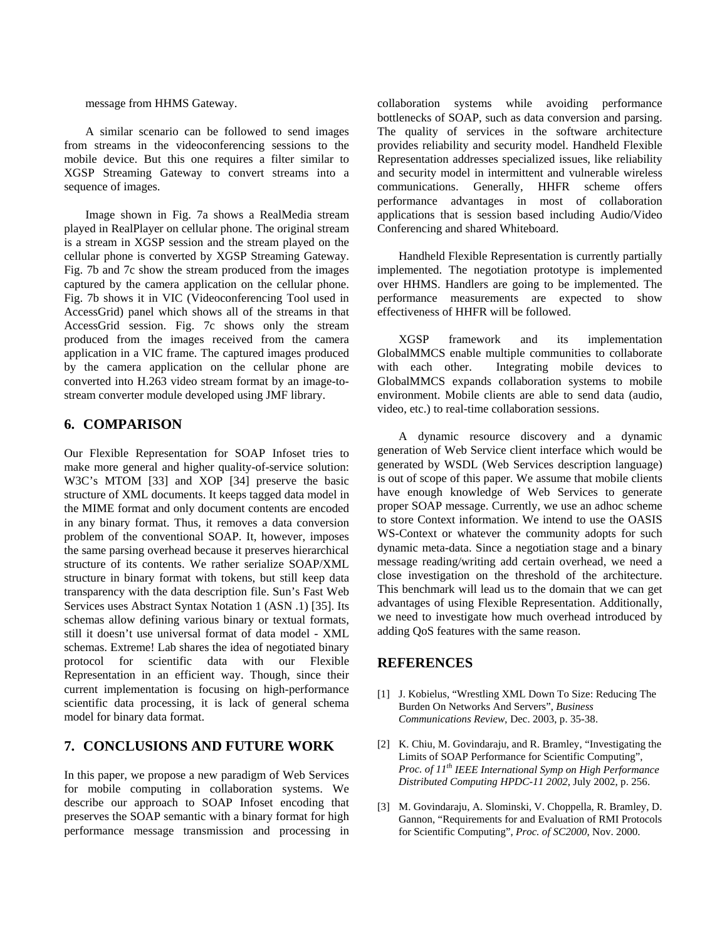message from HHMS Gateway.

A similar scenario can be followed to send images from streams in the videoconferencing sessions to the mobile device. But this one requires a filter similar to XGSP Streaming Gateway to convert streams into a sequence of images.

Image shown in Fig. 7a shows a RealMedia stream played in RealPlayer on cellular phone. The original stream is a stream in XGSP session and the stream played on the cellular phone is converted by XGSP Streaming Gateway. Fig. 7b and 7c show the stream produced from the images captured by the camera application on the cellular phone. Fig. 7b shows it in VIC (Videoconferencing Tool used in AccessGrid) panel which shows all of the streams in that AccessGrid session. Fig. 7c shows only the stream produced from the images received from the camera application in a VIC frame. The captured images produced by the camera application on the cellular phone are converted into H.263 video stream format by an image-tostream converter module developed using JMF library.

### **6. COMPARISON**

Our Flexible Representation for SOAP Infoset tries to make more general and higher quality-of-service solution: W3C's MTOM [33] and XOP [34] preserve the basic structure of XML documents. It keeps tagged data model in the MIME format and only document contents are encoded in any binary format. Thus, it removes a data conversion problem of the conventional SOAP. It, however, imposes the same parsing overhead because it preserves hierarchical structure of its contents. We rather serialize SOAP/XML structure in binary format with tokens, but still keep data transparency with the data description file. Sun's Fast Web Services uses Abstract Syntax Notation 1 (ASN .1) [35]. Its schemas allow defining various binary or textual formats, still it doesn't use universal format of data model - XML schemas. Extreme! Lab shares the idea of negotiated binary protocol for scientific data with our Flexible Representation in an efficient way. Though, since their current implementation is focusing on high-performance scientific data processing, it is lack of general schema model for binary data format.

## **7. CONCLUSIONS AND FUTURE WORK**

In this paper, we propose a new paradigm of Web Services for mobile computing in collaboration systems. We describe our approach to SOAP Infoset encoding that preserves the SOAP semantic with a binary format for high performance message transmission and processing in collaboration systems while avoiding performance bottlenecks of SOAP, such as data conversion and parsing. The quality of services in the software architecture provides reliability and security model. Handheld Flexible Representation addresses specialized issues, like reliability and security model in intermittent and vulnerable wireless communications. Generally, HHFR scheme offers performance advantages in most of collaboration applications that is session based including Audio/Video Conferencing and shared Whiteboard.

Handheld Flexible Representation is currently partially implemented. The negotiation prototype is implemented over HHMS. Handlers are going to be implemented. The performance measurements are expected to show effectiveness of HHFR will be followed.

XGSP framework and its implementation GlobalMMCS enable multiple communities to collaborate with each other. Integrating mobile devices to GlobalMMCS expands collaboration systems to mobile environment. Mobile clients are able to send data (audio, video, etc.) to real-time collaboration sessions.

A dynamic resource discovery and a dynamic generation of Web Service client interface which would be generated by WSDL (Web Services description language) is out of scope of this paper. We assume that mobile clients have enough knowledge of Web Services to generate proper SOAP message. Currently, we use an adhoc scheme to store Context information. We intend to use the OASIS WS-Context or whatever the community adopts for such dynamic meta-data. Since a negotiation stage and a binary message reading/writing add certain overhead, we need a close investigation on the threshold of the architecture. This benchmark will lead us to the domain that we can get advantages of using Flexible Representation. Additionally, we need to investigate how much overhead introduced by adding QoS features with the same reason.

#### **REFERENCES**

- [1] J. Kobielus, "Wrestling XML Down To Size: Reducing The Burden On Networks And Servers", *Business Communications Review*, Dec. 2003, p. 35-38.
- [2] K. Chiu, M. Govindaraju, and R. Bramley, "Investigating the Limits of SOAP Performance for Scientific Computing", *Proc. of 11th IEEE International Symp on High Performance Distributed Computing HPDC-11 2002*, July 2002, p. 256.
- [3] M. Govindaraju, A. Slominski, V. Choppella, R. Bramley, D. Gannon, "Requirements for and Evaluation of RMI Protocols for Scientific Computing", *Proc. of SC2000*, Nov. 2000.